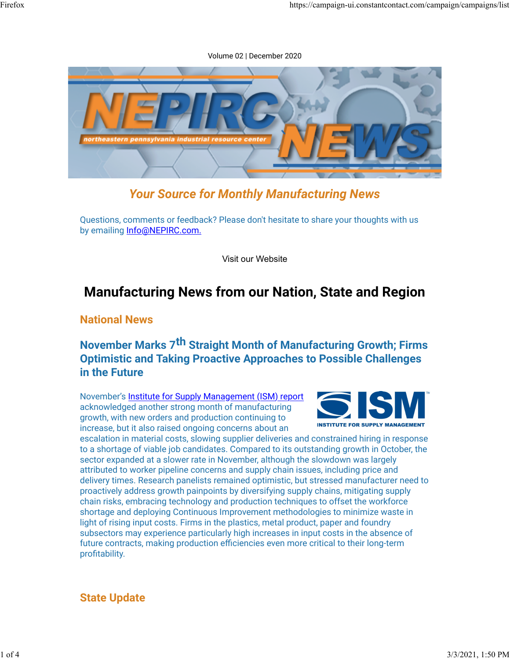#### Volume 02 | December 2020



# Your Source for Monthly Manufacturing News

Questions, comments or feedback? Please don't hesitate to share your thoughts with us by emailing Info@NEPIRC.com.

Visit our Website

# Manufacturing News from our Nation, State and Region

### National News

# November Marks 7th Straight Month of Manufacturing Growth; Firms Optimistic and Taking Proactive Approaches to Possible Challenges in the Future

November's Institute for Supply Management (ISM) report acknowledged another strong month of manufacturing growth, with new orders and production continuing to increase, but it also raised ongoing concerns about an



escalation in material costs, slowing supplier deliveries and constrained hiring in response to a shortage of viable job candidates. Compared to its outstanding growth in October, the sector expanded at a slower rate in November, although the slowdown was largely attributed to worker pipeline concerns and supply chain issues, including price and delivery times. Research panelists remained optimistic, but stressed manufacturer need to proactively address growth painpoints by diversifying supply chains, mitigating supply chain risks, embracing technology and production techniques to offset the workforce shortage and deploying Continuous Improvement methodologies to minimize waste in light of rising input costs. Firms in the plastics, metal product, paper and foundry subsectors may experience particularly high increases in input costs in the absence of future contracts, making production efficiencies even more critical to their long-term profitability.

# State Update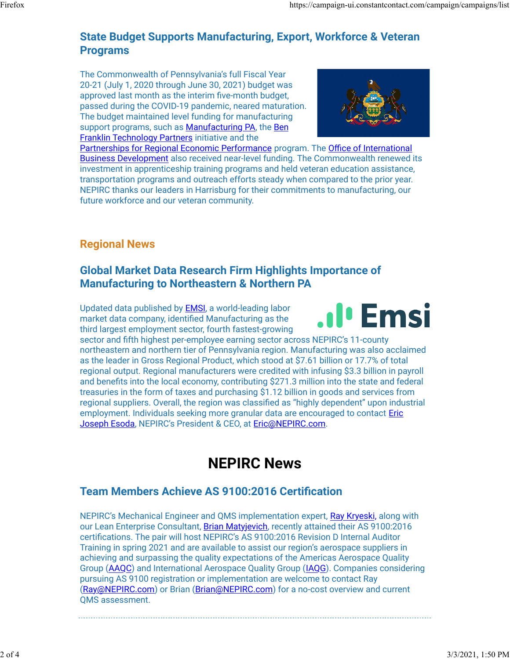# State Budget Supports Manufacturing, Export, Workforce & Veteran Programs

The Commonwealth of Pennsylvania's full Fiscal Year 20-21 (July 1, 2020 through June 30, 2021) budget was approved last month as the interim five-month budget, passed during the COVID-19 pandemic, neared maturation. The budget maintained level funding for manufacturing support programs, such as Manufacturing PA, the Ben **Franklin Technology Partners initiative and the** 



Partnerships for Regional Economic Performance program. The Office of International Business Development also received near-level funding. The Commonwealth renewed its investment in apprenticeship training programs and held veteran education assistance, transportation programs and outreach efforts steady when compared to the prior year. NEPIRC thanks our leaders in Harrisburg for their commitments to manufacturing, our future workforce and our veteran community.

# Regional News

# Global Market Data Research Firm Highlights Importance of Manufacturing to Northeastern & Northern PA

Updated data published by EMSI, a world-leading labor market data company, identified Manufacturing as the third largest employment sector, fourth fastest-growing



sector and fifth highest per-employee earning sector across NEPIRC's 11-county northeastern and northern tier of Pennsylvania region. Manufacturing was also acclaimed as the leader in Gross Regional Product, which stood at \$7.61 billion or 17.7% of total regional output. Regional manufacturers were credited with infusing \$3.3 billion in payroll and benefits into the local economy, contributing \$271.3 million into the state and federal treasuries in the form of taxes and purchasing \$1.12 billion in goods and services from regional suppliers. Overall, the region was classified as "highly dependent" upon industrial employment. Individuals seeking more granular data are encouraged to contact Eric Joseph Esoda, NEPIRC's President & CEO, at Eric@NEPIRC.com.

# NEPIRC News

# Team Members Achieve AS 9100:2016 Certification

NEPIRC's Mechanical Engineer and QMS implementation expert, Ray Kryeski, along with our Lean Enterprise Consultant, Brian Matyjevich, recently attained their AS 9100:2016 certifications. The pair will host NEPIRC's AS 9100:2016 Revision D Internal Auditor Training in spring 2021 and are available to assist our region's aerospace suppliers in achieving and surpassing the quality expectations of the Americas Aerospace Quality Group (AAQC) and International Aerospace Quality Group (IAQG). Companies considering pursuing AS 9100 registration or implementation are welcome to contact Ray (Ray@NEPIRC.com) or Brian (Brian@NEPIRC.com) for a no-cost overview and current QMS assessment.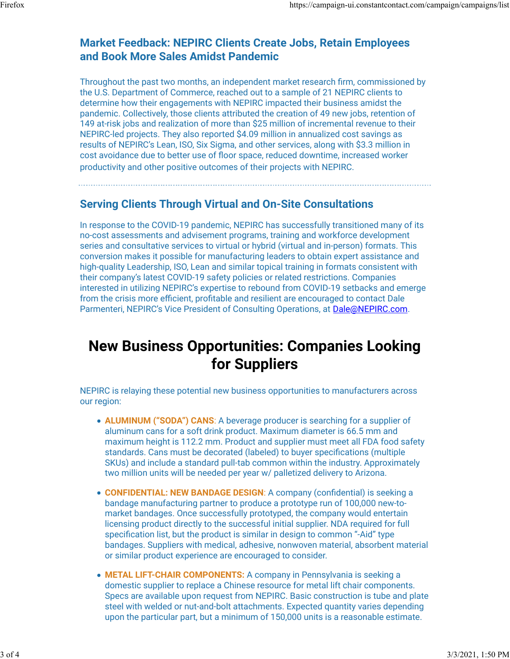# Market Feedback: NEPIRC Clients Create Jobs, Retain Employees and Book More Sales Amidst Pandemic

Throughout the past two months, an independent market research firm, commissioned by the U.S. Department of Commerce, reached out to a sample of 21 NEPIRC clients to determine how their engagements with NEPIRC impacted their business amidst the pandemic. Collectively, those clients attributed the creation of 49 new jobs, retention of 149 at-risk jobs and realization of more than \$25 million of incremental revenue to their NEPIRC-led projects. They also reported \$4.09 million in annualized cost savings as results of NEPIRC's Lean, ISO, Six Sigma, and other services, along with \$3.3 million in cost avoidance due to better use of floor space, reduced downtime, increased worker productivity and other positive outcomes of their projects with NEPIRC.

### Serving Clients Through Virtual and On-Site Consultations

In response to the COVID-19 pandemic, NEPIRC has successfully transitioned many of its no-cost assessments and advisement programs, training and workforce development series and consultative services to virtual or hybrid (virtual and in-person) formats. This conversion makes it possible for manufacturing leaders to obtain expert assistance and high-quality Leadership, ISO, Lean and similar topical training in formats consistent with their company's latest COVID-19 safety policies or related restrictions. Companies interested in utilizing NEPIRC's expertise to rebound from COVID-19 setbacks and emerge from the crisis more efficient, profitable and resilient are encouraged to contact Dale Parmenteri, NEPIRC's Vice President of Consulting Operations, at Dale@NEPIRC.com.

# New Business Opportunities: Companies Looking for Suppliers

NEPIRC is relaying these potential new business opportunities to manufacturers across our region:

- ALUMINUM ("SODA") CANS: A beverage producer is searching for a supplier of aluminum cans for a soft drink product. Maximum diameter is 66.5 mm and maximum height is 112.2 mm. Product and supplier must meet all FDA food safety standards. Cans must be decorated (labeled) to buyer specifications (multiple SKUs) and include a standard pull-tab common within the industry. Approximately two million units will be needed per year w/ palletized delivery to Arizona.
- CONFIDENTIAL: NEW BANDAGE DESIGN: A company (confidential) is seeking a bandage manufacturing partner to produce a prototype run of 100,000 new-tomarket bandages. Once successfully prototyped, the company would entertain licensing product directly to the successful initial supplier. NDA required for full specification list, but the product is similar in design to common "-Aid" type bandages. Suppliers with medical, adhesive, nonwoven material, absorbent material or similar product experience are encouraged to consider.
- METAL LIFT-CHAIR COMPONENTS: A company in Pennsylvania is seeking a domestic supplier to replace a Chinese resource for metal lift chair components. Specs are available upon request from NEPIRC. Basic construction is tube and plate steel with welded or nut-and-bolt attachments. Expected quantity varies depending upon the particular part, but a minimum of 150,000 units is a reasonable estimate.